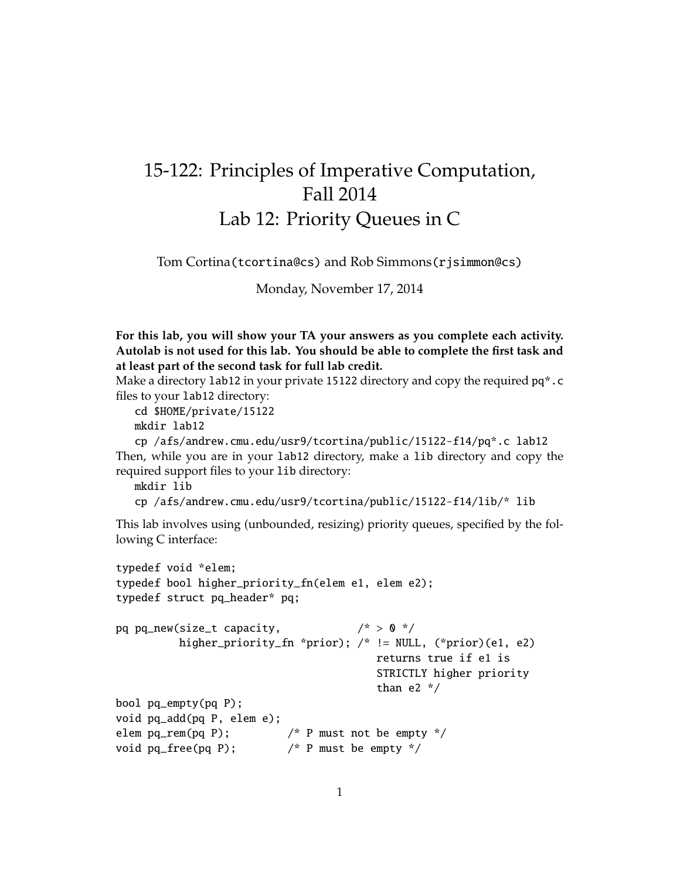## 15-122: Principles of Imperative Computation, Fall 2014 Lab 12: Priority Queues in C

Tom Cortina(tcortina@cs) and Rob Simmons(rjsimmon@cs)

Monday, November 17, 2014

**For this lab, you will show your TA your answers as you complete each activity. Autolab is not used for this lab. You should be able to complete the first task and at least part of the second task for full lab credit.**

Make a directory 1 ab<sup>12</sup> in your private 15122 directory and copy the required pq<sup>\*</sup>.c files to your lab12 directory:

cd \$HOME/private/15122 mkdir lab12

cp /afs/andrew.cmu.edu/usr9/tcortina/public/15122-f14/pq\*.c lab12 Then, while you are in your lab12 directory, make a lib directory and copy the required support files to your lib directory:

mkdir lib

```
cp /afs/andrew.cmu.edu/usr9/tcortina/public/15122-f14/lib/* lib
```
This lab involves using (unbounded, resizing) priority queues, specified by the following C interface:

```
typedef void *elem;
typedef bool higher_priority_fn(elem e1, elem e2);
typedef struct pq_header* pq;
pq pq_new(size_t capacity, / * > 0 */higher_priority_fn *prior); /* != NULL, (*prior)(e1, e2)
                                        returns true if e1 is
                                        STRICTLY higher priority
                                        than e2 */
bool pq_empty(pq P);
void pq_add(pq P, elem e);
elem pq_rem(pq P); \frac{1}{2} /* P must not be empty */
void pq_free(pq P); /* P must be empty */
```